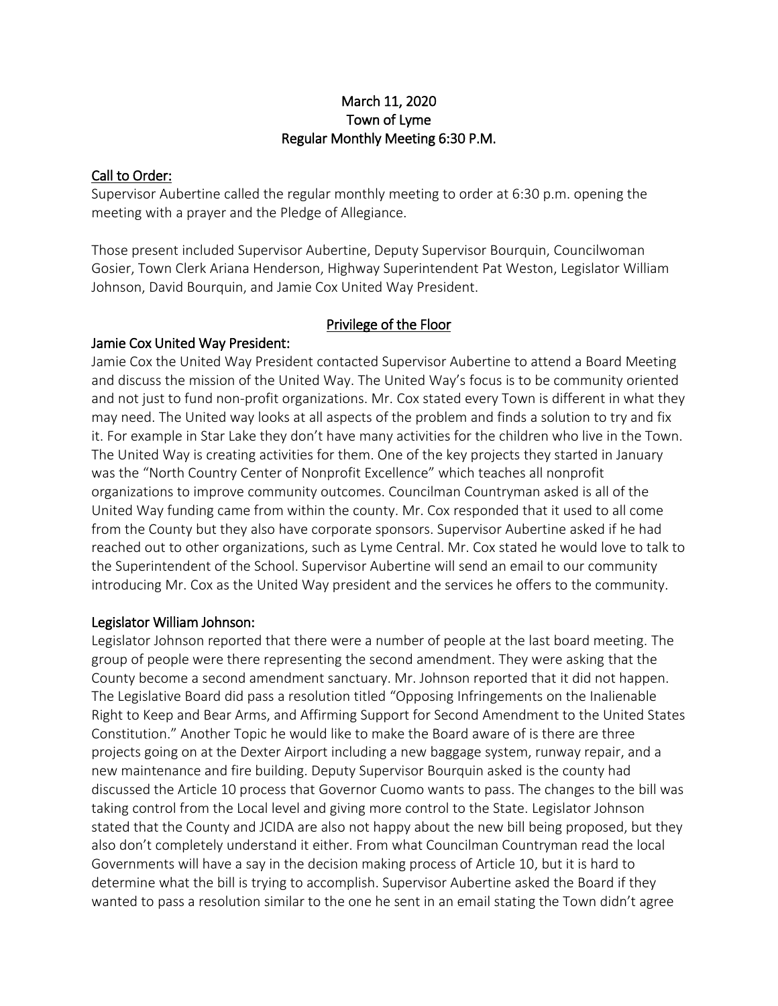### March 11, 2020 Town of Lyme Regular Monthly Meeting 6:30 P.M.

#### Call to Order:

Supervisor Aubertine called the regular monthly meeting to order at 6:30 p.m. opening the meeting with a prayer and the Pledge of Allegiance.

Those present included Supervisor Aubertine, Deputy Supervisor Bourquin, Councilwoman Gosier, Town Clerk Ariana Henderson, Highway Superintendent Pat Weston, Legislator William Johnson, David Bourquin, and Jamie Cox United Way President.

### Privilege of the Floor

### Jamie Cox United Way President:

Jamie Cox the United Way President contacted Supervisor Aubertine to attend a Board Meeting and discuss the mission of the United Way. The United Way's focus is to be community oriented and not just to fund non-profit organizations. Mr. Cox stated every Town is different in what they may need. The United way looks at all aspects of the problem and finds a solution to try and fix it. For example in Star Lake they don't have many activities for the children who live in the Town. The United Way is creating activities for them. One of the key projects they started in January was the "North Country Center of Nonprofit Excellence" which teaches all nonprofit organizations to improve community outcomes. Councilman Countryman asked is all of the United Way funding came from within the county. Mr. Cox responded that it used to all come from the County but they also have corporate sponsors. Supervisor Aubertine asked if he had reached out to other organizations, such as Lyme Central. Mr. Cox stated he would love to talk to the Superintendent of the School. Supervisor Aubertine will send an email to our community introducing Mr. Cox as the United Way president and the services he offers to the community.

### Legislator William Johnson:

Legislator Johnson reported that there were a number of people at the last board meeting. The group of people were there representing the second amendment. They were asking that the County become a second amendment sanctuary. Mr. Johnson reported that it did not happen. The Legislative Board did pass a resolution titled "Opposing Infringements on the Inalienable Right to Keep and Bear Arms, and Affirming Support for Second Amendment to the United States Constitution." Another Topic he would like to make the Board aware of is there are three projects going on at the Dexter Airport including a new baggage system, runway repair, and a new maintenance and fire building. Deputy Supervisor Bourquin asked is the county had discussed the Article 10 process that Governor Cuomo wants to pass. The changes to the bill was taking control from the Local level and giving more control to the State. Legislator Johnson stated that the County and JCIDA are also not happy about the new bill being proposed, but they also don't completely understand it either. From what Councilman Countryman read the local Governments will have a say in the decision making process of Article 10, but it is hard to determine what the bill is trying to accomplish. Supervisor Aubertine asked the Board if they wanted to pass a resolution similar to the one he sent in an email stating the Town didn't agree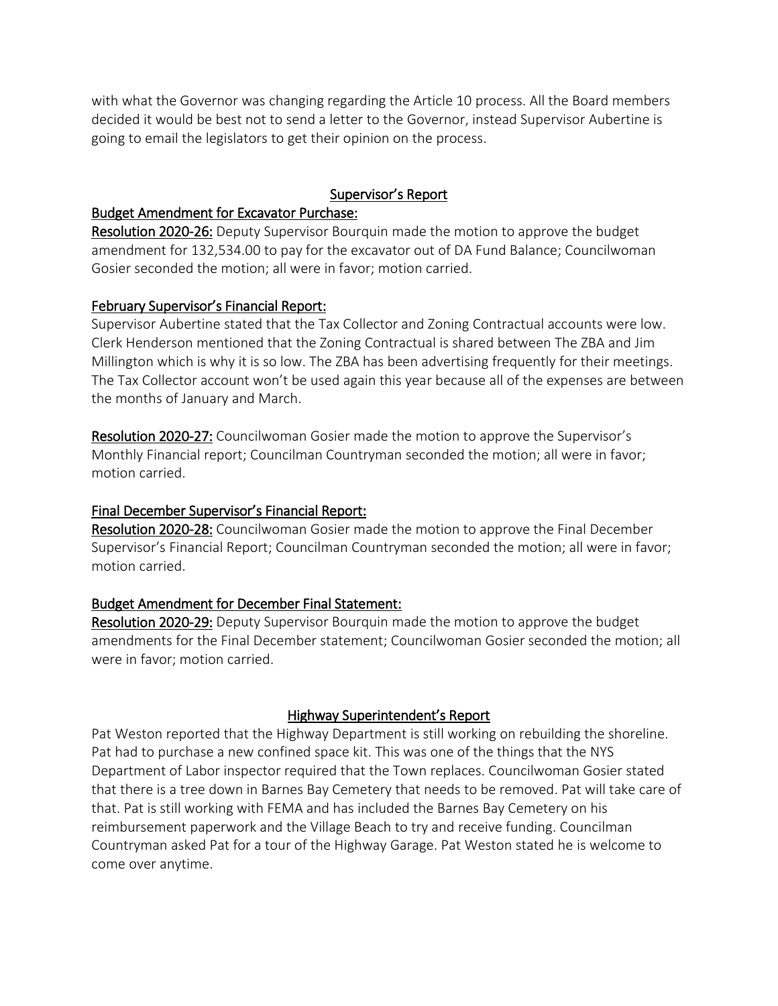with what the Governor was changing regarding the Article 10 process. All the Board members decided it would be best not to send a letter to the Governor, instead Supervisor Aubertine is going to email the legislators to get their opinion on the process.

## Supervisor's Report

#### Budget Amendment for Excavator Purchase:

Resolution 2020-26: Deputy Supervisor Bourquin made the motion to approve the budget amendment for 132,534.00 to pay for the excavator out of DA Fund Balance; Councilwoman Gosier seconded the motion; all were in favor; motion carried.

### February Supervisor's Financial Report:

Supervisor Aubertine stated that the Tax Collector and Zoning Contractual accounts were low. Clerk Henderson mentioned that the Zoning Contractual is shared between The ZBA and Jim Millington which is why it is so low. The ZBA has been advertising frequently for their meetings. The Tax Collector account won't be used again this year because all of the expenses are between the months of January and March.

Resolution 2020-27: Councilwoman Gosier made the motion to approve the Supervisor's Monthly Financial report; Councilman Countryman seconded the motion; all were in favor; motion carried.

### Final December Supervisor's Financial Report:

Resolution 2020-28: Councilwoman Gosier made the motion to approve the Final December Supervisor's Financial Report; Councilman Countryman seconded the motion; all were in favor; motion carried.

### Budget Amendment for December Final Statement:

Resolution 2020-29: Deputy Supervisor Bourquin made the motion to approve the budget amendments for the Final December statement; Councilwoman Gosier seconded the motion; all were in favor; motion carried.

### Highway Superintendent's Report

Pat Weston reported that the Highway Department is still working on rebuilding the shoreline. Pat had to purchase a new confined space kit. This was one of the things that the NYS Department of Labor inspector required that the Town replaces. Councilwoman Gosier stated that there is a tree down in Barnes Bay Cemetery that needs to be removed. Pat will take care of that. Pat is still working with FEMA and has included the Barnes Bay Cemetery on his reimbursement paperwork and the Village Beach to try and receive funding. Councilman Countryman asked Pat for a tour of the Highway Garage. Pat Weston stated he is welcome to come over anytime.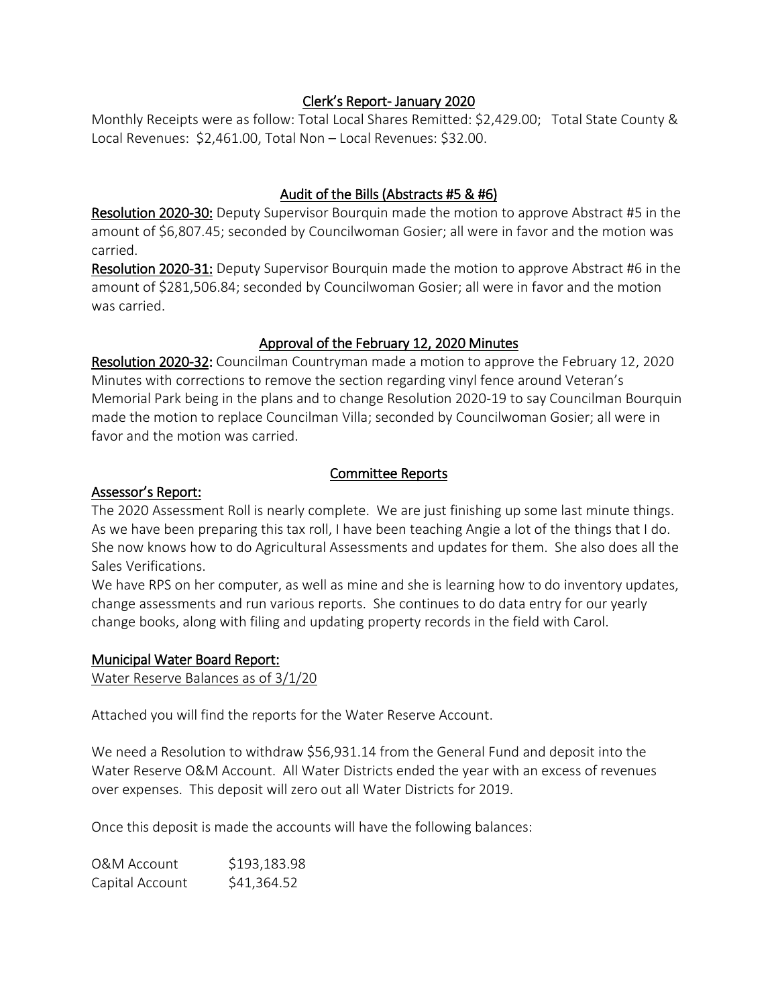#### Clerk's Report- January 2020

Monthly Receipts were as follow: Total Local Shares Remitted: \$2,429.00; Total State County & Local Revenues: \$2,461.00, Total Non – Local Revenues: \$32.00.

## Audit of the Bills (Abstracts #5 & #6)

Resolution 2020-30: Deputy Supervisor Bourquin made the motion to approve Abstract #5 in the amount of \$6,807.45; seconded by Councilwoman Gosier; all were in favor and the motion was carried.

Resolution 2020-31: Deputy Supervisor Bourquin made the motion to approve Abstract #6 in the amount of \$281,506.84; seconded by Councilwoman Gosier; all were in favor and the motion was carried.

## Approval of the February 12, 2020 Minutes

Resolution 2020-32: Councilman Countryman made a motion to approve the February 12, 2020 Minutes with corrections to remove the section regarding vinyl fence around Veteran's Memorial Park being in the plans and to change Resolution 2020-19 to say Councilman Bourquin made the motion to replace Councilman Villa; seconded by Councilwoman Gosier; all were in favor and the motion was carried.

## Committee Reports

#### Assessor's Report:

The 2020 Assessment Roll is nearly complete. We are just finishing up some last minute things. As we have been preparing this tax roll, I have been teaching Angie a lot of the things that I do. She now knows how to do Agricultural Assessments and updates for them. She also does all the Sales Verifications.

We have RPS on her computer, as well as mine and she is learning how to do inventory updates, change assessments and run various reports. She continues to do data entry for our yearly change books, along with filing and updating property records in the field with Carol.

#### Municipal Water Board Report:

Water Reserve Balances as of 3/1/20

Attached you will find the reports for the Water Reserve Account.

We need a Resolution to withdraw \$56,931.14 from the General Fund and deposit into the Water Reserve O&M Account. All Water Districts ended the year with an excess of revenues over expenses. This deposit will zero out all Water Districts for 2019.

Once this deposit is made the accounts will have the following balances:

| <b>O&amp;M Account</b> | \$193,183.98 |
|------------------------|--------------|
| Capital Account        | \$41,364.52  |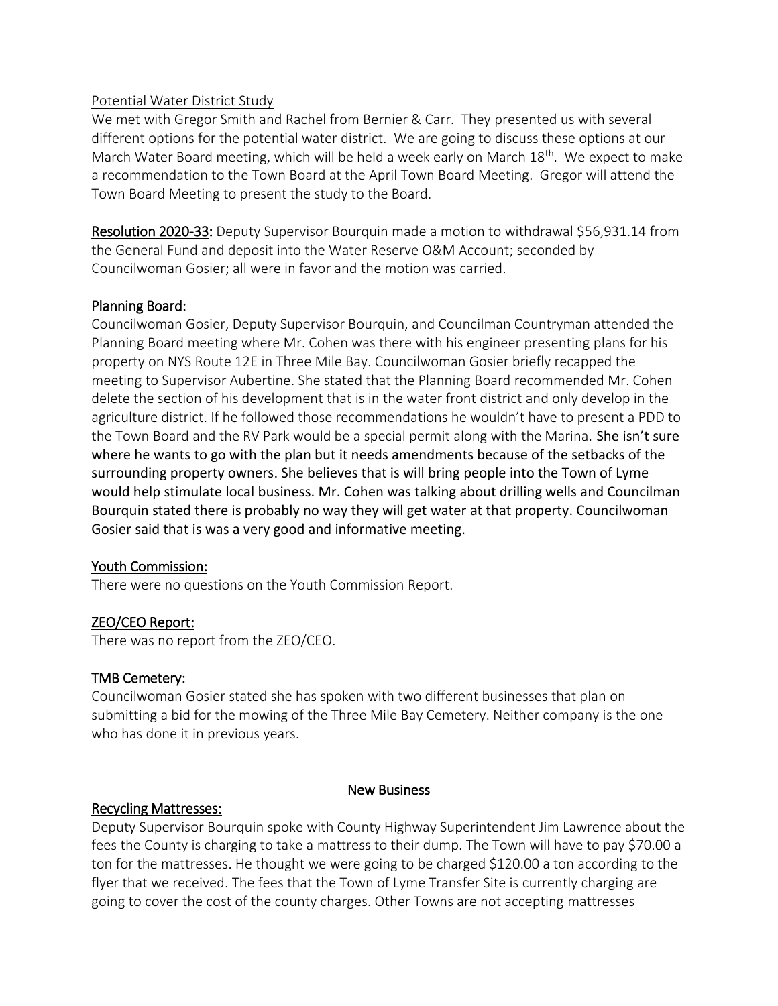#### Potential Water District Study

We met with Gregor Smith and Rachel from Bernier & Carr. They presented us with several different options for the potential water district. We are going to discuss these options at our March Water Board meeting, which will be held a week early on March  $18<sup>th</sup>$ . We expect to make a recommendation to the Town Board at the April Town Board Meeting. Gregor will attend the Town Board Meeting to present the study to the Board.

Resolution 2020-33: Deputy Supervisor Bourquin made a motion to withdrawal \$56,931.14 from the General Fund and deposit into the Water Reserve O&M Account; seconded by Councilwoman Gosier; all were in favor and the motion was carried.

### Planning Board:

Councilwoman Gosier, Deputy Supervisor Bourquin, and Councilman Countryman attended the Planning Board meeting where Mr. Cohen was there with his engineer presenting plans for his property on NYS Route 12E in Three Mile Bay. Councilwoman Gosier briefly recapped the meeting to Supervisor Aubertine. She stated that the Planning Board recommended Mr. Cohen delete the section of his development that is in the water front district and only develop in the agriculture district. If he followed those recommendations he wouldn't have to present a PDD to the Town Board and the RV Park would be a special permit along with the Marina. She isn't sure where he wants to go with the plan but it needs amendments because of the setbacks of the surrounding property owners. She believes that is will bring people into the Town of Lyme would help stimulate local business. Mr. Cohen was talking about drilling wells and Councilman Bourquin stated there is probably no way they will get water at that property. Councilwoman Gosier said that is was a very good and informative meeting.

### Youth Commission:

There were no questions on the Youth Commission Report.

### ZEO/CEO Report:

There was no report from the ZEO/CEO.

#### TMB Cemetery:

Councilwoman Gosier stated she has spoken with two different businesses that plan on submitting a bid for the mowing of the Three Mile Bay Cemetery. Neither company is the one who has done it in previous years.

#### New Business

#### Recycling Mattresses:

Deputy Supervisor Bourquin spoke with County Highway Superintendent Jim Lawrence about the fees the County is charging to take a mattress to their dump. The Town will have to pay \$70.00 a ton for the mattresses. He thought we were going to be charged \$120.00 a ton according to the flyer that we received. The fees that the Town of Lyme Transfer Site is currently charging are going to cover the cost of the county charges. Other Towns are not accepting mattresses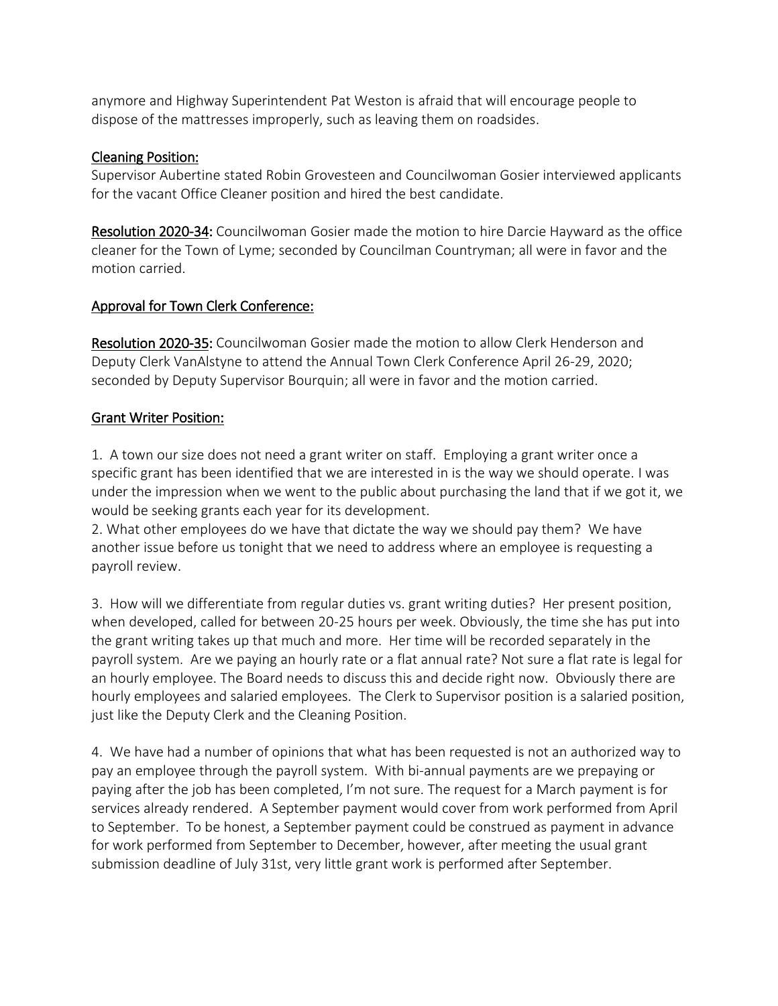anymore and Highway Superintendent Pat Weston is afraid that will encourage people to dispose of the mattresses improperly, such as leaving them on roadsides.

### Cleaning Position:

Supervisor Aubertine stated Robin Grovesteen and Councilwoman Gosier interviewed applicants for the vacant Office Cleaner position and hired the best candidate.

Resolution 2020-34: Councilwoman Gosier made the motion to hire Darcie Hayward as the office cleaner for the Town of Lyme; seconded by Councilman Countryman; all were in favor and the motion carried.

# Approval for Town Clerk Conference:

Resolution 2020-35: Councilwoman Gosier made the motion to allow Clerk Henderson and Deputy Clerk VanAlstyne to attend the Annual Town Clerk Conference April 26-29, 2020; seconded by Deputy Supervisor Bourquin; all were in favor and the motion carried.

# Grant Writer Position:

1. A town our size does not need a grant writer on staff. Employing a grant writer once a specific grant has been identified that we are interested in is the way we should operate. I was under the impression when we went to the public about purchasing the land that if we got it, we would be seeking grants each year for its development.

2. What other employees do we have that dictate the way we should pay them? We have another issue before us tonight that we need to address where an employee is requesting a payroll review.

3. How will we differentiate from regular duties vs. grant writing duties? Her present position, when developed, called for between 20-25 hours per week. Obviously, the time she has put into the grant writing takes up that much and more. Her time will be recorded separately in the payroll system. Are we paying an hourly rate or a flat annual rate? Not sure a flat rate is legal for an hourly employee. The Board needs to discuss this and decide right now. Obviously there are hourly employees and salaried employees. The Clerk to Supervisor position is a salaried position, just like the Deputy Clerk and the Cleaning Position.

4. We have had a number of opinions that what has been requested is not an authorized way to pay an employee through the payroll system. With bi-annual payments are we prepaying or paying after the job has been completed, I'm not sure. The request for a March payment is for services already rendered. A September payment would cover from work performed from April to September. To be honest, a September payment could be construed as payment in advance for work performed from September to December, however, after meeting the usual grant submission deadline of July 31st, very little grant work is performed after September.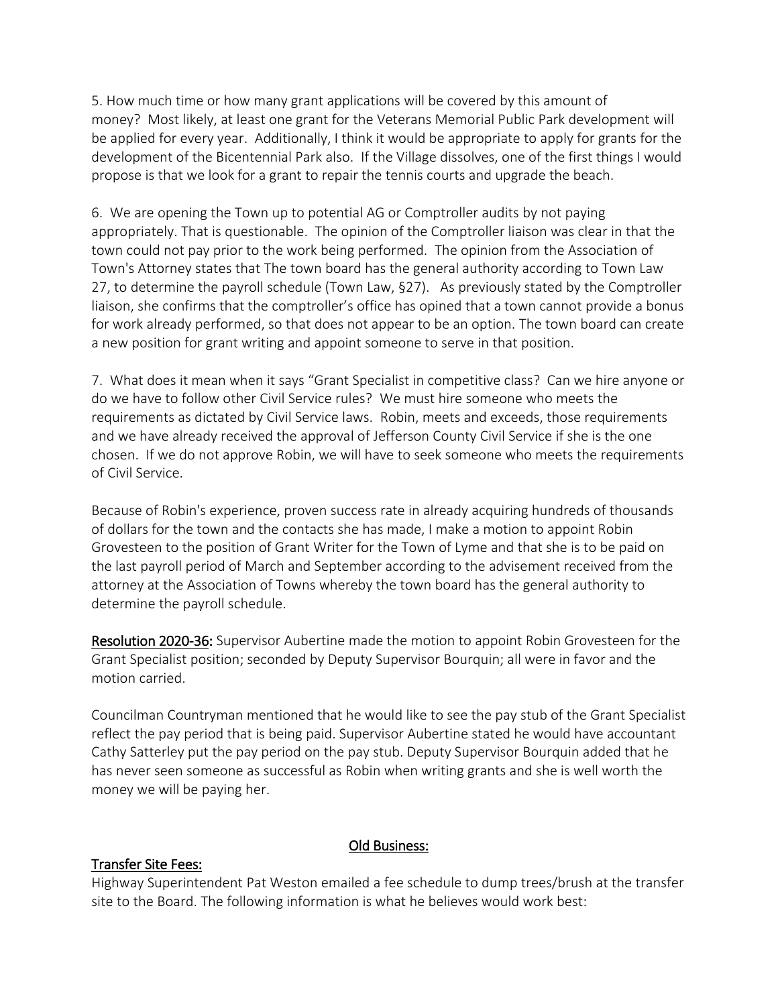5. How much time or how many grant applications will be covered by this amount of money? Most likely, at least one grant for the Veterans Memorial Public Park development will be applied for every year. Additionally, I think it would be appropriate to apply for grants for the development of the Bicentennial Park also. If the Village dissolves, one of the first things I would propose is that we look for a grant to repair the tennis courts and upgrade the beach.

6. We are opening the Town up to potential AG or Comptroller audits by not paying appropriately. That is questionable. The opinion of the Comptroller liaison was clear in that the town could not pay prior to the work being performed. The opinion from the Association of Town's Attorney states that The town board has the general authority according to Town Law 27, to determine the payroll schedule (Town Law, §27). As previously stated by the Comptroller liaison, she confirms that the comptroller's office has opined that a town cannot provide a bonus for work already performed, so that does not appear to be an option. The town board can create a new position for grant writing and appoint someone to serve in that position.

7. What does it mean when it says "Grant Specialist in competitive class? Can we hire anyone or do we have to follow other Civil Service rules? We must hire someone who meets the requirements as dictated by Civil Service laws. Robin, meets and exceeds, those requirements and we have already received the approval of Jefferson County Civil Service if she is the one chosen. If we do not approve Robin, we will have to seek someone who meets the requirements of Civil Service.

Because of Robin's experience, proven success rate in already acquiring hundreds of thousands of dollars for the town and the contacts she has made, I make a motion to appoint Robin Grovesteen to the position of Grant Writer for the Town of Lyme and that she is to be paid on the last payroll period of March and September according to the advisement received from the attorney at the Association of Towns whereby the town board has the general authority to determine the payroll schedule.

Resolution 2020-36: Supervisor Aubertine made the motion to appoint Robin Grovesteen for the Grant Specialist position; seconded by Deputy Supervisor Bourquin; all were in favor and the motion carried.

Councilman Countryman mentioned that he would like to see the pay stub of the Grant Specialist reflect the pay period that is being paid. Supervisor Aubertine stated he would have accountant Cathy Satterley put the pay period on the pay stub. Deputy Supervisor Bourquin added that he has never seen someone as successful as Robin when writing grants and she is well worth the money we will be paying her.

### Transfer Site Fees:

### Old Business:

Highway Superintendent Pat Weston emailed a fee schedule to dump trees/brush at the transfer site to the Board. The following information is what he believes would work best: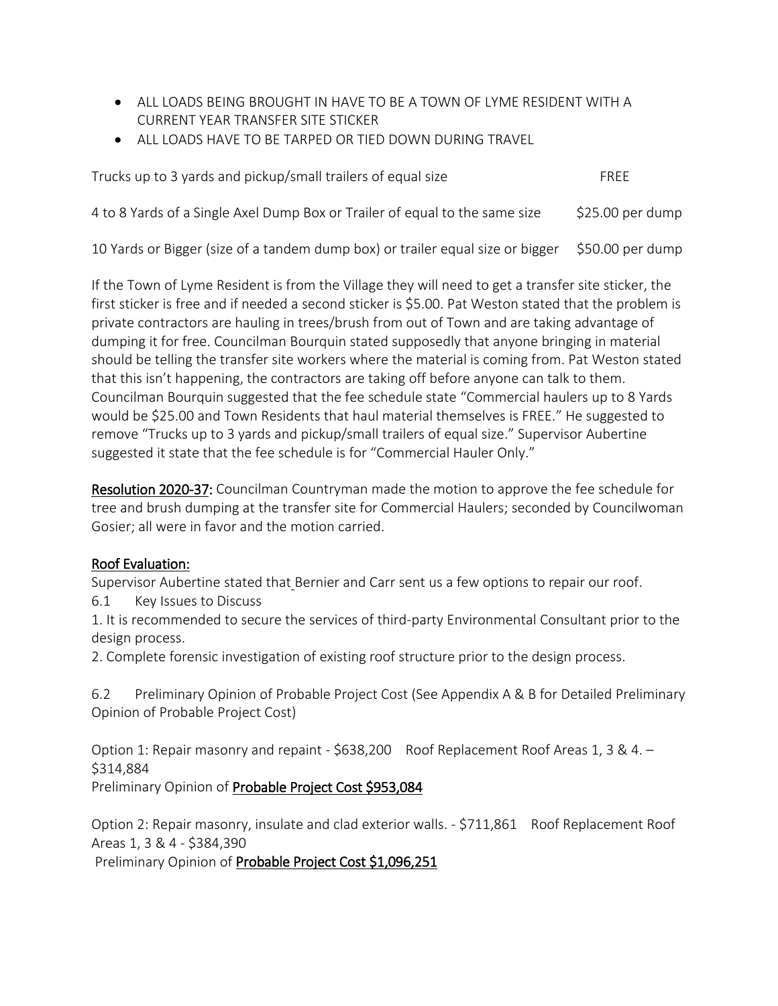- ALL LOADS BEING BROUGHT IN HAVE TO BE A TOWN OF LYME RESIDENT WITH A CURRENT YEAR TRANSFER SITE STICKER
- ALL LOADS HAVE TO BE TARPED OR TIED DOWN DURING TRAVEL

| Trucks up to 3 yards and pickup/small trailers of equal size                | FRFF              |
|-----------------------------------------------------------------------------|-------------------|
| 4 to 8 Yards of a Single Axel Dump Box or Trailer of equal to the same size | $$25.00$ per dump |

10 Yards or Bigger (size of a tandem dump box) or trailer equal size or bigger \$50.00 per dump

If the Town of Lyme Resident is from the Village they will need to get a transfer site sticker, the first sticker is free and if needed a second sticker is \$5.00. Pat Weston stated that the problem is private contractors are hauling in trees/brush from out of Town and are taking advantage of dumping it for free. Councilman Bourquin stated supposedly that anyone bringing in material should be telling the transfer site workers where the material is coming from. Pat Weston stated that this isn't happening, the contractors are taking off before anyone can talk to them. Councilman Bourquin suggested that the fee schedule state "Commercial haulers up to 8 Yards would be \$25.00 and Town Residents that haul material themselves is FREE." He suggested to remove "Trucks up to 3 yards and pickup/small trailers of equal size." Supervisor Aubertine suggested it state that the fee schedule is for "Commercial Hauler Only."

Resolution 2020-37: Councilman Countryman made the motion to approve the fee schedule for tree and brush dumping at the transfer site for Commercial Haulers; seconded by Councilwoman Gosier; all were in favor and the motion carried.

### Roof Evaluation:

Supervisor Aubertine stated that Bernier and Carr sent us a few options to repair our roof.

6.1 Key Issues to Discuss

1. It is recommended to secure the services of third-party Environmental Consultant prior to the design process.

2. Complete forensic investigation of existing roof structure prior to the design process.

6.2 Preliminary Opinion of Probable Project Cost (See Appendix A & B for Detailed Preliminary Opinion of Probable Project Cost)

Option 1: Repair masonry and repaint - \$638,200 Roof Replacement Roof Areas 1, 3 & 4. -\$314,884

Preliminary Opinion of Probable Project Cost \$953,084

Option 2: Repair masonry, insulate and clad exterior walls. - \$711,861 Roof Replacement Roof Areas 1, 3 & 4 - \$384,390

Preliminary Opinion of Probable Project Cost \$1,096,251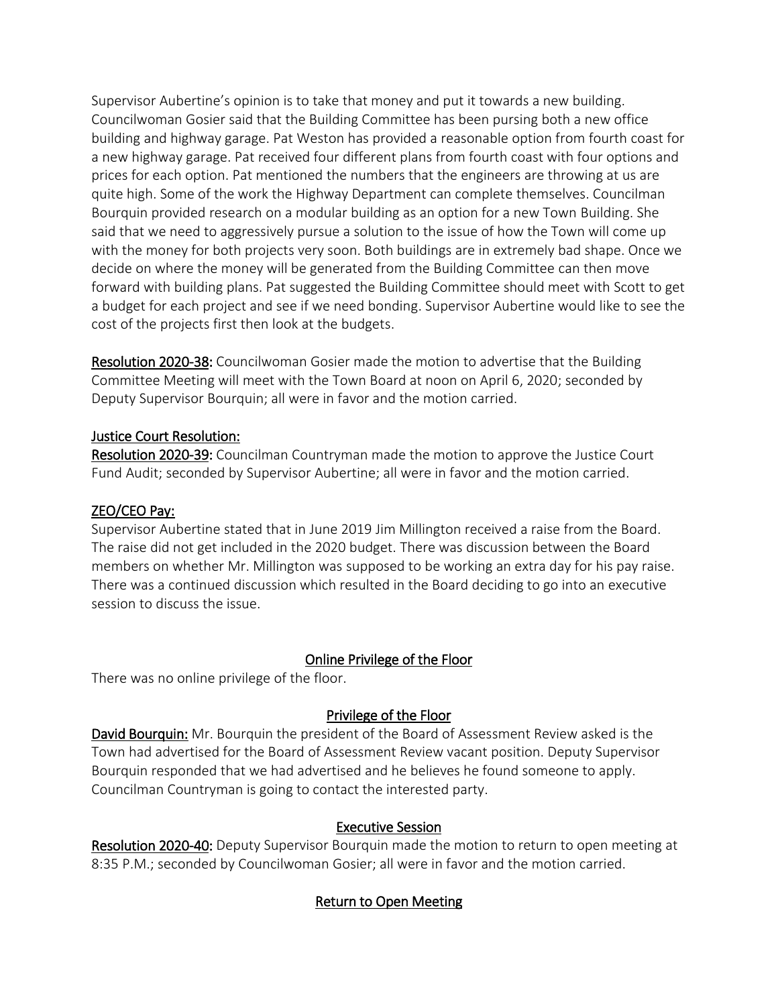Supervisor Aubertine's opinion is to take that money and put it towards a new building. Councilwoman Gosier said that the Building Committee has been pursing both a new office building and highway garage. Pat Weston has provided a reasonable option from fourth coast for a new highway garage. Pat received four different plans from fourth coast with four options and prices for each option. Pat mentioned the numbers that the engineers are throwing at us are quite high. Some of the work the Highway Department can complete themselves. Councilman Bourquin provided research on a modular building as an option for a new Town Building. She said that we need to aggressively pursue a solution to the issue of how the Town will come up with the money for both projects very soon. Both buildings are in extremely bad shape. Once we decide on where the money will be generated from the Building Committee can then move forward with building plans. Pat suggested the Building Committee should meet with Scott to get a budget for each project and see if we need bonding. Supervisor Aubertine would like to see the cost of the projects first then look at the budgets.

Resolution 2020-38: Councilwoman Gosier made the motion to advertise that the Building Committee Meeting will meet with the Town Board at noon on April 6, 2020; seconded by Deputy Supervisor Bourquin; all were in favor and the motion carried.

### Justice Court Resolution:

Resolution 2020-39: Councilman Countryman made the motion to approve the Justice Court Fund Audit; seconded by Supervisor Aubertine; all were in favor and the motion carried.

## ZEO/CEO Pay:

Supervisor Aubertine stated that in June 2019 Jim Millington received a raise from the Board. The raise did not get included in the 2020 budget. There was discussion between the Board members on whether Mr. Millington was supposed to be working an extra day for his pay raise. There was a continued discussion which resulted in the Board deciding to go into an executive session to discuss the issue.

# Online Privilege of the Floor

There was no online privilege of the floor.

# Privilege of the Floor

David Bourquin: Mr. Bourquin the president of the Board of Assessment Review asked is the Town had advertised for the Board of Assessment Review vacant position. Deputy Supervisor Bourquin responded that we had advertised and he believes he found someone to apply. Councilman Countryman is going to contact the interested party.

### Executive Session

Resolution 2020-40: Deputy Supervisor Bourquin made the motion to return to open meeting at 8:35 P.M.; seconded by Councilwoman Gosier; all were in favor and the motion carried.

# Return to Open Meeting